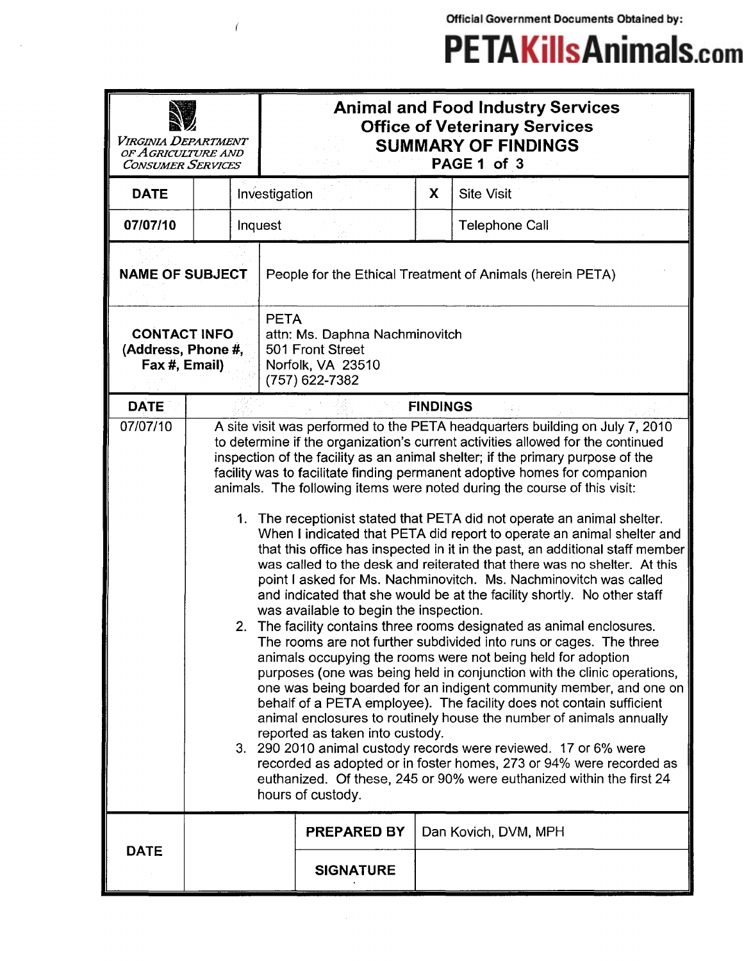Official Government Documents Obtained by:

## **PETAKillsAnimals.com**

| VIRGINIA DEPARTMENT<br>OF AGRICULTURE AND<br><b>CONSUMER SERVICES</b> |    | <b>Animal and Food Industry Services</b><br><b>Office of Veterinary Services</b><br><b>SUMMARY OF FINDINGS</b><br>PAGE 1 of 3                                                                                                                                                                                                                                                                                                                                                                                                                                                                                                                                                                                                                                                                                                                                                                                                                                                                                                                                                                                                                                                                                                                                                                                                                                                                                                                                                                                                                                                                                                                                                                               |                                                           |                 |                       |  |  |
|-----------------------------------------------------------------------|----|-------------------------------------------------------------------------------------------------------------------------------------------------------------------------------------------------------------------------------------------------------------------------------------------------------------------------------------------------------------------------------------------------------------------------------------------------------------------------------------------------------------------------------------------------------------------------------------------------------------------------------------------------------------------------------------------------------------------------------------------------------------------------------------------------------------------------------------------------------------------------------------------------------------------------------------------------------------------------------------------------------------------------------------------------------------------------------------------------------------------------------------------------------------------------------------------------------------------------------------------------------------------------------------------------------------------------------------------------------------------------------------------------------------------------------------------------------------------------------------------------------------------------------------------------------------------------------------------------------------------------------------------------------------------------------------------------------------|-----------------------------------------------------------|-----------------|-----------------------|--|--|
| <b>DATE</b>                                                           |    | Investigation                                                                                                                                                                                                                                                                                                                                                                                                                                                                                                                                                                                                                                                                                                                                                                                                                                                                                                                                                                                                                                                                                                                                                                                                                                                                                                                                                                                                                                                                                                                                                                                                                                                                                               |                                                           | X               | <b>Site Visit</b>     |  |  |
| 07/07/10                                                              |    | Inquest                                                                                                                                                                                                                                                                                                                                                                                                                                                                                                                                                                                                                                                                                                                                                                                                                                                                                                                                                                                                                                                                                                                                                                                                                                                                                                                                                                                                                                                                                                                                                                                                                                                                                                     |                                                           |                 | <b>Telephone Call</b> |  |  |
| <b>NAME OF SUBJECT</b>                                                |    |                                                                                                                                                                                                                                                                                                                                                                                                                                                                                                                                                                                                                                                                                                                                                                                                                                                                                                                                                                                                                                                                                                                                                                                                                                                                                                                                                                                                                                                                                                                                                                                                                                                                                                             | People for the Ethical Treatment of Animals (herein PETA) |                 |                       |  |  |
| <b>CONTACT INFO</b><br>(Address, Phone #,<br>Fax #, Email)            |    | <b>PETA</b><br>attn: Ms. Daphna Nachminovitch<br>501 Front Street<br>Norfolk, VA 23510<br>(757) 622-7382                                                                                                                                                                                                                                                                                                                                                                                                                                                                                                                                                                                                                                                                                                                                                                                                                                                                                                                                                                                                                                                                                                                                                                                                                                                                                                                                                                                                                                                                                                                                                                                                    |                                                           |                 |                       |  |  |
| <b>DATE</b>                                                           |    |                                                                                                                                                                                                                                                                                                                                                                                                                                                                                                                                                                                                                                                                                                                                                                                                                                                                                                                                                                                                                                                                                                                                                                                                                                                                                                                                                                                                                                                                                                                                                                                                                                                                                                             |                                                           | <b>FINDINGS</b> |                       |  |  |
| 07/07/10                                                              | 2. | A site visit was performed to the PETA headquarters building on July 7, 2010<br>to determine if the organization's current activities allowed for the continued<br>inspection of the facility as an animal shelter; if the primary purpose of the<br>facility was to facilitate finding permanent adoptive homes for companion<br>animals. The following items were noted during the course of this visit:<br>1. The receptionist stated that PETA did not operate an animal shelter.<br>When I indicated that PETA did report to operate an animal shelter and<br>that this office has inspected in it in the past, an additional staff member<br>was called to the desk and reiterated that there was no shelter. At this<br>point I asked for Ms. Nachminovitch. Ms. Nachminovitch was called<br>and indicated that she would be at the facility shortly. No other staff<br>was available to begin the inspection.<br>The facility contains three rooms designated as animal enclosures.<br>The rooms are not further subdivided into runs or cages. The three<br>animals occupying the rooms were not being held for adoption<br>purposes (one was being held in conjunction with the clinic operations,<br>one was being boarded for an indigent community member, and one on<br>behalf of a PETA employee). The facility does not contain sufficient<br>animal enclosures to routinely house the number of animals annually<br>reported as taken into custody.<br>3. 290 2010 animal custody records were reviewed. 17 or 6% were<br>recorded as adopted or in foster homes, 273 or 94% were recorded as<br>euthanized. Of these, 245 or 90% were euthanized within the first 24<br>hours of custody. |                                                           |                 |                       |  |  |
| <b>DATE</b>                                                           |    |                                                                                                                                                                                                                                                                                                                                                                                                                                                                                                                                                                                                                                                                                                                                                                                                                                                                                                                                                                                                                                                                                                                                                                                                                                                                                                                                                                                                                                                                                                                                                                                                                                                                                                             | <b>PREPARED BY</b>                                        |                 | Dan Kovich, DVM, MPH  |  |  |
|                                                                       |    |                                                                                                                                                                                                                                                                                                                                                                                                                                                                                                                                                                                                                                                                                                                                                                                                                                                                                                                                                                                                                                                                                                                                                                                                                                                                                                                                                                                                                                                                                                                                                                                                                                                                                                             | <b>SIGNATURE</b>                                          |                 |                       |  |  |

 $\overline{1}$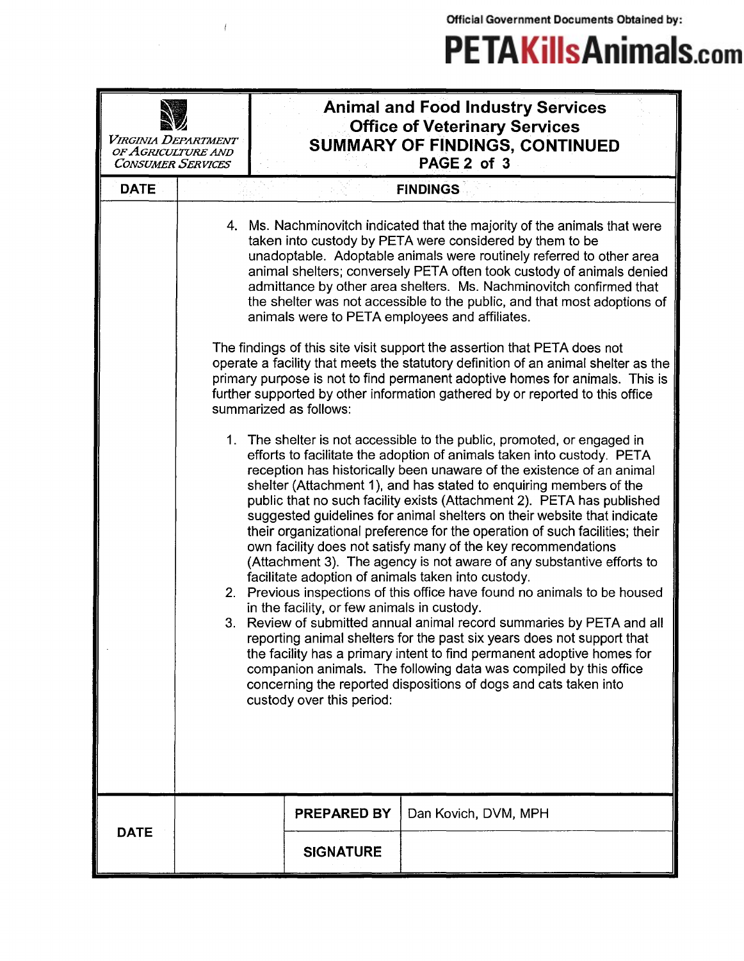Official Government Documents Obtained by:

## **PETAKillsAnimals.com**

| Virginia Department<br>OF AGRICULTURE AND<br><b>CONSUMER SERVICES</b> |                                                                                                                                                                                                                                                                                                                                                                                                                                                                                             | <b>Animal and Food Industry Services</b><br><b>Office of Veterinary Services</b><br>SUMMARY OF FINDINGS, CONTINUED<br>PAGE 2 of 3                                                                                                                                                                                                                                                                                                                                                                                                                                                                                                                                                                                                                                                                                                                                                                                                                                                                                                                                                                                                                                                                                                                                |                      |  |  |  |
|-----------------------------------------------------------------------|---------------------------------------------------------------------------------------------------------------------------------------------------------------------------------------------------------------------------------------------------------------------------------------------------------------------------------------------------------------------------------------------------------------------------------------------------------------------------------------------|------------------------------------------------------------------------------------------------------------------------------------------------------------------------------------------------------------------------------------------------------------------------------------------------------------------------------------------------------------------------------------------------------------------------------------------------------------------------------------------------------------------------------------------------------------------------------------------------------------------------------------------------------------------------------------------------------------------------------------------------------------------------------------------------------------------------------------------------------------------------------------------------------------------------------------------------------------------------------------------------------------------------------------------------------------------------------------------------------------------------------------------------------------------------------------------------------------------------------------------------------------------|----------------------|--|--|--|
| <b>DATE</b>                                                           |                                                                                                                                                                                                                                                                                                                                                                                                                                                                                             |                                                                                                                                                                                                                                                                                                                                                                                                                                                                                                                                                                                                                                                                                                                                                                                                                                                                                                                                                                                                                                                                                                                                                                                                                                                                  | <b>FINDINGS</b>      |  |  |  |
|                                                                       | 4. Ms. Nachminovitch indicated that the majority of the animals that were<br>taken into custody by PETA were considered by them to be<br>unadoptable. Adoptable animals were routinely referred to other area<br>animal shelters; conversely PETA often took custody of animals denied<br>admittance by other area shelters. Ms. Nachminovitch confirmed that<br>the shelter was not accessible to the public, and that most adoptions of<br>animals were to PETA employees and affiliates. |                                                                                                                                                                                                                                                                                                                                                                                                                                                                                                                                                                                                                                                                                                                                                                                                                                                                                                                                                                                                                                                                                                                                                                                                                                                                  |                      |  |  |  |
|                                                                       | The findings of this site visit support the assertion that PETA does not<br>operate a facility that meets the statutory definition of an animal shelter as the<br>primary purpose is not to find permanent adoptive homes for animals. This is<br>further supported by other information gathered by or reported to this office<br>summarized as follows:                                                                                                                                   |                                                                                                                                                                                                                                                                                                                                                                                                                                                                                                                                                                                                                                                                                                                                                                                                                                                                                                                                                                                                                                                                                                                                                                                                                                                                  |                      |  |  |  |
|                                                                       |                                                                                                                                                                                                                                                                                                                                                                                                                                                                                             | 1. The shelter is not accessible to the public, promoted, or engaged in<br>efforts to facilitate the adoption of animals taken into custody. PETA<br>reception has historically been unaware of the existence of an animal<br>shelter (Attachment 1), and has stated to enquiring members of the<br>public that no such facility exists (Attachment 2). PETA has published<br>suggested guidelines for animal shelters on their website that indicate<br>their organizational preference for the operation of such facilities; their<br>own facility does not satisfy many of the key recommendations<br>(Attachment 3). The agency is not aware of any substantive efforts to<br>facilitate adoption of animals taken into custody.<br>2. Previous inspections of this office have found no animals to be housed<br>in the facility, or few animals in custody.<br>Review of submitted annual animal record summaries by PETA and all<br>reporting animal shelters for the past six years does not support that<br>the facility has a primary intent to find permanent adoptive homes for<br>companion animals. The following data was compiled by this office<br>concerning the reported dispositions of dogs and cats taken into<br>custody over this period: |                      |  |  |  |
| <b>DATE</b>                                                           |                                                                                                                                                                                                                                                                                                                                                                                                                                                                                             | PREPARED BY                                                                                                                                                                                                                                                                                                                                                                                                                                                                                                                                                                                                                                                                                                                                                                                                                                                                                                                                                                                                                                                                                                                                                                                                                                                      | Dan Kovich, DVM, MPH |  |  |  |
|                                                                       |                                                                                                                                                                                                                                                                                                                                                                                                                                                                                             | <b>SIGNATURE</b>                                                                                                                                                                                                                                                                                                                                                                                                                                                                                                                                                                                                                                                                                                                                                                                                                                                                                                                                                                                                                                                                                                                                                                                                                                                 |                      |  |  |  |

 $\ell$